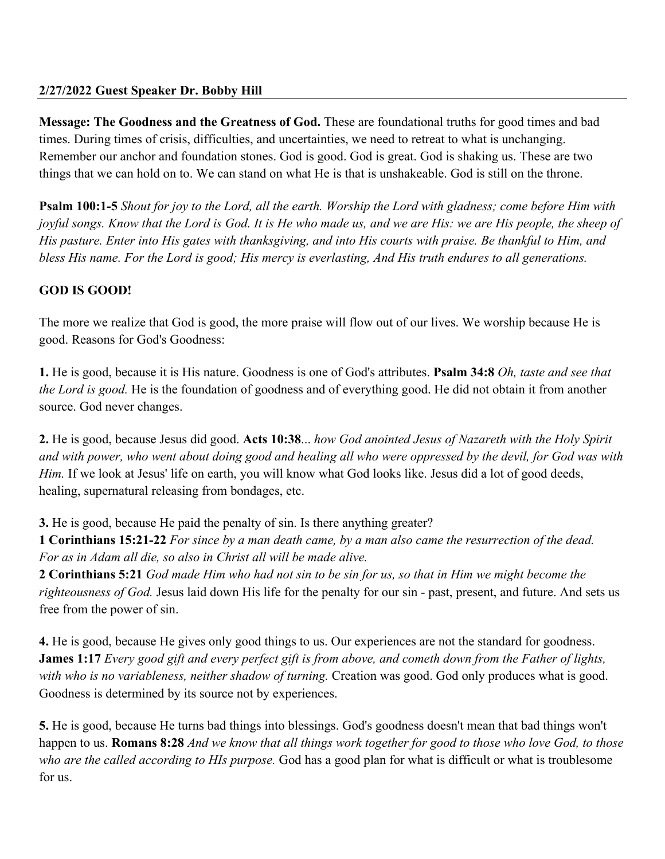**Message: The Goodness and the Greatness of God.** These are foundational truths for good times and bad times. During times of crisis, difficulties, and uncertainties, we need to retreat to what is unchanging. Remember our anchor and foundation stones. God is good. God is great. God is shaking us. These are two things that we can hold on to. We can stand on what He is that is unshakeable. God is still on the throne.

**Psalm 100:1-5** *Shout for joy to the Lord, all the earth. Worship the Lord with gladness; come before Him with joyful songs. Know that the Lord is God. It is He who made us, and we are His: we are His people, the sheep of His pasture. Enter into His gates with thanksgiving, and into His courts with praise. Be thankful to Him, and bless His name. For the Lord is good; His mercy is everlasting, And His truth endures to all generations.*

## **GOD IS GOOD!**

The more we realize that God is good, the more praise will flow out of our lives. We worship because He is good. Reasons for God's Goodness:

**1.** He is good, because it is His nature. Goodness is one of God's attributes. **Psalm 34:8** *Oh, taste and see that the Lord is good.* He is the foundation of goodness and of everything good. He did not obtain it from another source. God never changes.

**2.** He is good, because Jesus did good. **Acts 10:38**... *how God anointed Jesus of Nazareth with the Holy Spirit and with power, who went about doing good and healing all who were oppressed by the devil, for God was with Him.* If we look at Jesus' life on earth, you will know what God looks like. Jesus did a lot of good deeds, healing, supernatural releasing from bondages, etc.

**3.** He is good, because He paid the penalty of sin. Is there anything greater?

**1 Corinthians 15:21-22** *For since by a man death came, by a man also came the resurrection of the dead. For as in Adam all die, so also in Christ all will be made alive.*

**2 Corinthians 5:21** *God made Him who had not sin to be sin for us, so that in Him we might become the righteousness of God.* Jesus laid down His life for the penalty for our sin - past, present, and future. And sets us free from the power of sin.

**4.** He is good, because He gives only good things to us. Our experiences are not the standard for goodness. **James 1:17** *Every good gift and every perfect gift is from above, and cometh down from the Father of lights,*  with who is no variableness, neither shadow of turning. Creation was good. God only produces what is good. Goodness is determined by its source not by experiences.

**5.** He is good, because He turns bad things into blessings. God's goodness doesn't mean that bad things won't happen to us. **Romans 8:28** *And we know that all things work together for good to those who love God, to those who are the called according to HIs purpose.* God has a good plan for what is difficult or what is troublesome for us.